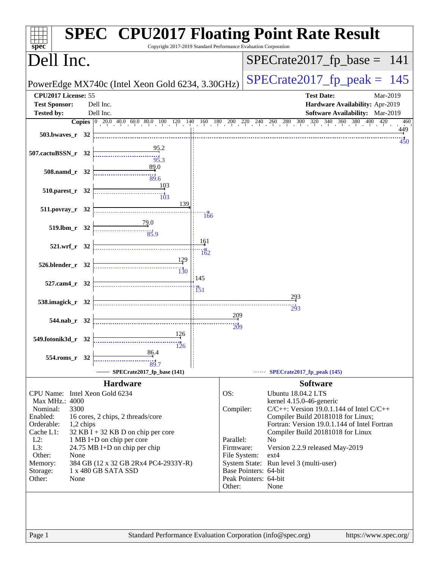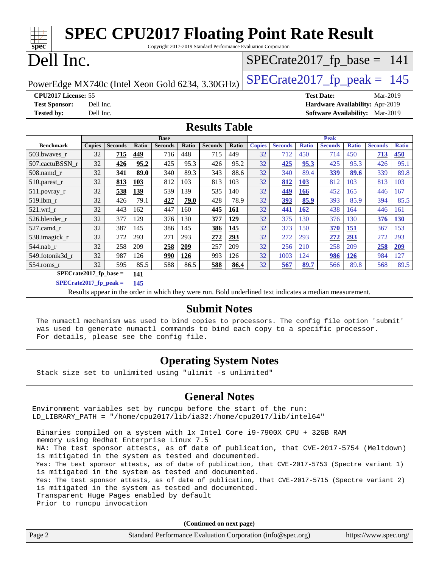| <b>SPEC CPU2017 Floating Point Rate Result</b><br>Copyright 2017-2019 Standard Performance Evaluation Corporation<br>$spec^*$ |           |                |       |                |              |                |       |               |                |              |                                        |              |                |              |
|-------------------------------------------------------------------------------------------------------------------------------|-----------|----------------|-------|----------------|--------------|----------------|-------|---------------|----------------|--------------|----------------------------------------|--------------|----------------|--------------|
| Dell Inc.<br>$SPECrate2017_fp\_base = 141$                                                                                    |           |                |       |                |              |                |       |               |                |              |                                        |              |                |              |
| $SPECTate2017$ _fp_peak = 145<br>PowerEdge MX740c (Intel Xeon Gold 6234, 3.30GHz)                                             |           |                |       |                |              |                |       |               |                |              |                                        |              |                |              |
| CPU2017 License: 55                                                                                                           |           |                |       |                |              |                |       |               |                |              | <b>Test Date:</b>                      |              | Mar-2019       |              |
| <b>Test Sponsor:</b>                                                                                                          | Dell Inc. |                |       |                |              |                |       |               |                |              | Hardware Availability: Apr-2019        |              |                |              |
| <b>Tested by:</b>                                                                                                             | Dell Inc. |                |       |                |              |                |       |               |                |              | <b>Software Availability:</b> Mar-2019 |              |                |              |
| <b>Results Table</b>                                                                                                          |           |                |       |                |              |                |       |               |                |              |                                        |              |                |              |
|                                                                                                                               |           |                |       | <b>Base</b>    |              |                |       |               |                |              | <b>Peak</b>                            |              |                |              |
| <b>Benchmark</b>                                                                                                              | Copies    | <b>Seconds</b> | Ratio | <b>Seconds</b> | <b>Ratio</b> | <b>Seconds</b> | Ratio | <b>Copies</b> | <b>Seconds</b> | <b>Ratio</b> | <b>Seconds</b>                         | <b>Ratio</b> | <b>Seconds</b> | <b>Ratio</b> |
| 503.bwayes r                                                                                                                  | 32        | 715            | 449   | 716            | 448          | 715            | 449   | 32            | 712            | 450          | 714                                    | 450          | 713            | 450          |
| 507.cactuBSSN r                                                                                                               | 32        | 426            | 95.2  | 425            | 95.3         | 426            | 95.2  | 32            | 425            | 95.3         | 425                                    | 95.3         | 426            | 95.1         |
| 508.namd r                                                                                                                    | 32        | 341            | 89.0  | 340            | 89.3         | 343            | 88.6  | 32            | 340            | 89.4         | 339                                    | 89.6         | 339            | 89.8         |
| $510.parest_r$                                                                                                                | 32        | 813            | 103   | 812            | 103          | 813            | 103   | 32            | 812            | 103          | 812                                    | 103          | 813            | 103          |
| $511.$ povray_r                                                                                                               | 32        | 538            | 139   | 539            | 139          | 535            | 140   | 32            | 449            | 166          | 452                                    | 165          | 446            | 167          |
| 519.lbm r                                                                                                                     | 32        | 426            | 79.1  | 427            | 79.0         | 428            | 78.9  | 32            | 393            | 85.9         | 393                                    | 85.9         | 394            | 85.5         |
| $521$ .wrf r                                                                                                                  | 32        | 443            | 162   | 447            | 160          | 445            | 161   | 32            | 441            | <b>162</b>   | 438                                    | 164          | 446            | 161          |
| 526.blender_r                                                                                                                 | 32        | 377            | 129   | 376            | 130          | 377            | 129   | 32            | 375            | 130          | 376                                    | 130          | 376            | <b>130</b>   |
| 527.cam4 r                                                                                                                    | 32        | 387            | 145   | 386            | 145          | 386            | 145   | 32            | 373            | 150          | 370                                    | 151          | 367            | 153          |
| 538.imagick_r                                                                                                                 | 32        | 272            | 293   | 271            | 293          | 272            | 293   | 32            | 272            | 293          | 272                                    | 293          | 272            | 293          |
| 544.nab_r                                                                                                                     | 32        | 258            | 209   | 258            | 209          | 257            | 209   | 32            | 256            | 210          | 258                                    | 209          | 258            | 209          |
| 549.fotonik3d_r                                                                                                               | 32        | 987            | 126   | 990            | 126          | 993            | 126   | 32            | 1003           | 124          | 986                                    | <b>126</b>   | 984            | 127          |
| 554.roms_r                                                                                                                    | 32        | 595            | 85.5  | 588            | 86.5         | 588            | 86.4  | 32            | 567            | 89.7         | 566                                    | 89.8         | 568            | 89.5         |

**[SPECrate2017\\_fp\\_base =](http://www.spec.org/auto/cpu2017/Docs/result-fields.html#SPECrate2017fpbase) 141 [SPECrate2017\\_fp\\_peak =](http://www.spec.org/auto/cpu2017/Docs/result-fields.html#SPECrate2017fppeak) 145**

Results appear in the [order in which they were run.](http://www.spec.org/auto/cpu2017/Docs/result-fields.html#RunOrder) Bold underlined text [indicates a median measurement.](http://www.spec.org/auto/cpu2017/Docs/result-fields.html#Median)

### **[Submit Notes](http://www.spec.org/auto/cpu2017/Docs/result-fields.html#SubmitNotes)**

 The numactl mechanism was used to bind copies to processors. The config file option 'submit' was used to generate numactl commands to bind each copy to a specific processor. For details, please see the config file.

## **[Operating System Notes](http://www.spec.org/auto/cpu2017/Docs/result-fields.html#OperatingSystemNotes)**

Stack size set to unlimited using "ulimit -s unlimited"

## **[General Notes](http://www.spec.org/auto/cpu2017/Docs/result-fields.html#GeneralNotes)**

Environment variables set by runcpu before the start of the run: LD\_LIBRARY\_PATH = "/home/cpu2017/lib/ia32:/home/cpu2017/lib/intel64"

 Binaries compiled on a system with 1x Intel Core i9-7900X CPU + 32GB RAM memory using Redhat Enterprise Linux 7.5 NA: The test sponsor attests, as of date of publication, that CVE-2017-5754 (Meltdown) is mitigated in the system as tested and documented. Yes: The test sponsor attests, as of date of publication, that CVE-2017-5753 (Spectre variant 1) is mitigated in the system as tested and documented. Yes: The test sponsor attests, as of date of publication, that CVE-2017-5715 (Spectre variant 2) is mitigated in the system as tested and documented. Transparent Huge Pages enabled by default Prior to runcpu invocation

|        | IIIVOI CO IGNORA INVOCACION                                 |                       |
|--------|-------------------------------------------------------------|-----------------------|
|        | (Continued on next page)                                    |                       |
| Page 2 | Standard Performance Evaluation Corporation (info@spec.org) | https://www.spec.org/ |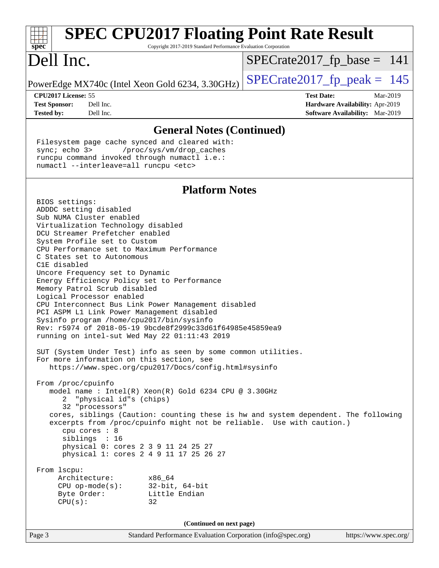| <b>SPEC CPU2017 Floating Point Rate Result</b><br>Copyright 2017-2019 Standard Performance Evaluation Corporation                                                                                                                                                                                                                                                                                                                                                                                                                                                                                                                                                                                                                                                                                                                                                                                                                                                                                                                                                                                                                                                                                                                                                                                                                                                                                                              |                               |                                                                                       |
|--------------------------------------------------------------------------------------------------------------------------------------------------------------------------------------------------------------------------------------------------------------------------------------------------------------------------------------------------------------------------------------------------------------------------------------------------------------------------------------------------------------------------------------------------------------------------------------------------------------------------------------------------------------------------------------------------------------------------------------------------------------------------------------------------------------------------------------------------------------------------------------------------------------------------------------------------------------------------------------------------------------------------------------------------------------------------------------------------------------------------------------------------------------------------------------------------------------------------------------------------------------------------------------------------------------------------------------------------------------------------------------------------------------------------------|-------------------------------|---------------------------------------------------------------------------------------|
| spec <sup>®</sup><br>Dell Inc.                                                                                                                                                                                                                                                                                                                                                                                                                                                                                                                                                                                                                                                                                                                                                                                                                                                                                                                                                                                                                                                                                                                                                                                                                                                                                                                                                                                                 | $SPECrate2017_fp\_base = 141$ |                                                                                       |
| PowerEdge MX740c (Intel Xeon Gold 6234, 3.30GHz)                                                                                                                                                                                                                                                                                                                                                                                                                                                                                                                                                                                                                                                                                                                                                                                                                                                                                                                                                                                                                                                                                                                                                                                                                                                                                                                                                                               | $SPECrate2017_fp\_peak = 145$ |                                                                                       |
| CPU2017 License: 55<br>Dell Inc.<br><b>Test Sponsor:</b><br><b>Tested by:</b><br>Dell Inc.                                                                                                                                                                                                                                                                                                                                                                                                                                                                                                                                                                                                                                                                                                                                                                                                                                                                                                                                                                                                                                                                                                                                                                                                                                                                                                                                     | <b>Test Date:</b>             | Mar-2019<br>Hardware Availability: Apr-2019<br><b>Software Availability:</b> Mar-2019 |
| <b>General Notes (Continued)</b>                                                                                                                                                                                                                                                                                                                                                                                                                                                                                                                                                                                                                                                                                                                                                                                                                                                                                                                                                                                                                                                                                                                                                                                                                                                                                                                                                                                               |                               |                                                                                       |
| Filesystem page cache synced and cleared with:<br>sync; echo 3><br>/proc/sys/vm/drop_caches<br>runcpu command invoked through numactl i.e.:<br>numactl --interleave=all runcpu <etc></etc>                                                                                                                                                                                                                                                                                                                                                                                                                                                                                                                                                                                                                                                                                                                                                                                                                                                                                                                                                                                                                                                                                                                                                                                                                                     |                               |                                                                                       |
| <b>Platform Notes</b>                                                                                                                                                                                                                                                                                                                                                                                                                                                                                                                                                                                                                                                                                                                                                                                                                                                                                                                                                                                                                                                                                                                                                                                                                                                                                                                                                                                                          |                               |                                                                                       |
| BIOS settings:<br>ADDDC setting disabled<br>Sub NUMA Cluster enabled<br>Virtualization Technology disabled<br>DCU Streamer Prefetcher enabled<br>System Profile set to Custom<br>CPU Performance set to Maximum Performance<br>C States set to Autonomous<br>C1E disabled<br>Uncore Frequency set to Dynamic<br>Energy Efficiency Policy set to Performance<br>Memory Patrol Scrub disabled<br>Logical Processor enabled<br>CPU Interconnect Bus Link Power Management disabled<br>PCI ASPM L1 Link Power Management disabled<br>Sysinfo program /home/cpu2017/bin/sysinfo<br>Rev: r5974 of 2018-05-19 9bcde8f2999c33d61f64985e45859ea9<br>running on intel-sut Wed May 22 01:11:43 2019<br>SUT (System Under Test) info as seen by some common utilities.<br>For more information on this section, see<br>https://www.spec.org/cpu2017/Docs/config.html#sysinfo<br>From /proc/cpuinfo<br>model name: Intel(R) Xeon(R) Gold 6234 CPU @ 3.30GHz<br>"physical id"s (chips)<br>2<br>32 "processors"<br>cores, siblings (Caution: counting these is hw and system dependent. The following<br>excerpts from /proc/cpuinfo might not be reliable. Use with caution.)<br>cpu cores : 8<br>siblings : 16<br>physical 0: cores 2 3 9 11 24 25 27<br>physical 1: cores 2 4 9 11 17 25 26 27<br>From lscpu:<br>Architecture:<br>x86_64<br>$CPU$ op-mode( $s$ ):<br>$32$ -bit, $64$ -bit<br>Byte Order:<br>Little Endian<br>CPU(s):<br>32 |                               |                                                                                       |
| (Continued on next page)                                                                                                                                                                                                                                                                                                                                                                                                                                                                                                                                                                                                                                                                                                                                                                                                                                                                                                                                                                                                                                                                                                                                                                                                                                                                                                                                                                                                       |                               |                                                                                       |
| Standard Performance Evaluation Corporation (info@spec.org)<br>Page 3                                                                                                                                                                                                                                                                                                                                                                                                                                                                                                                                                                                                                                                                                                                                                                                                                                                                                                                                                                                                                                                                                                                                                                                                                                                                                                                                                          |                               | https://www.spec.org/                                                                 |
|                                                                                                                                                                                                                                                                                                                                                                                                                                                                                                                                                                                                                                                                                                                                                                                                                                                                                                                                                                                                                                                                                                                                                                                                                                                                                                                                                                                                                                |                               |                                                                                       |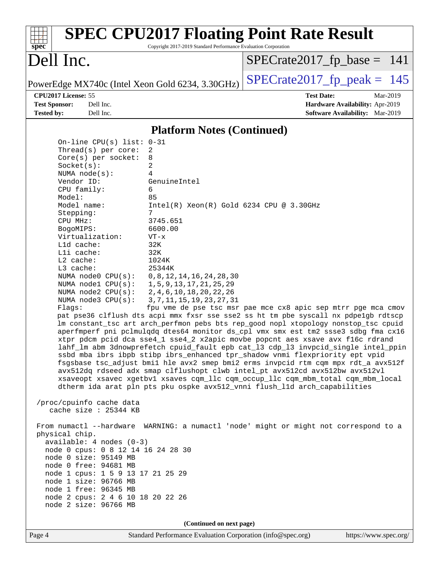| <b>SPEC CPU2017 Floating Point Rate Result</b><br>Copyright 2017-2019 Standard Performance Evaluation Corporation<br>$spec^*$                                                                                                                                                                                                                                                                                                                                                                                                                                                                                                                                                                                                                                                                                                                                                                                                                                                                                                                                                                                                                                                                                                                                                                                                                                                                                                                                                                                                                                                                                                                                                                                                                                                                                                                                                                                                                                                                                   |                                                                  |
|-----------------------------------------------------------------------------------------------------------------------------------------------------------------------------------------------------------------------------------------------------------------------------------------------------------------------------------------------------------------------------------------------------------------------------------------------------------------------------------------------------------------------------------------------------------------------------------------------------------------------------------------------------------------------------------------------------------------------------------------------------------------------------------------------------------------------------------------------------------------------------------------------------------------------------------------------------------------------------------------------------------------------------------------------------------------------------------------------------------------------------------------------------------------------------------------------------------------------------------------------------------------------------------------------------------------------------------------------------------------------------------------------------------------------------------------------------------------------------------------------------------------------------------------------------------------------------------------------------------------------------------------------------------------------------------------------------------------------------------------------------------------------------------------------------------------------------------------------------------------------------------------------------------------------------------------------------------------------------------------------------------------|------------------------------------------------------------------|
| Dell Inc.                                                                                                                                                                                                                                                                                                                                                                                                                                                                                                                                                                                                                                                                                                                                                                                                                                                                                                                                                                                                                                                                                                                                                                                                                                                                                                                                                                                                                                                                                                                                                                                                                                                                                                                                                                                                                                                                                                                                                                                                       | $SPECrate2017_fp\_base = 141$                                    |
| PowerEdge MX740c (Intel Xeon Gold 6234, 3.30GHz)                                                                                                                                                                                                                                                                                                                                                                                                                                                                                                                                                                                                                                                                                                                                                                                                                                                                                                                                                                                                                                                                                                                                                                                                                                                                                                                                                                                                                                                                                                                                                                                                                                                                                                                                                                                                                                                                                                                                                                | $SPECrate2017_fp\_peak = 145$                                    |
| CPU2017 License: 55<br><b>Test Sponsor:</b><br>Dell Inc.                                                                                                                                                                                                                                                                                                                                                                                                                                                                                                                                                                                                                                                                                                                                                                                                                                                                                                                                                                                                                                                                                                                                                                                                                                                                                                                                                                                                                                                                                                                                                                                                                                                                                                                                                                                                                                                                                                                                                        | <b>Test Date:</b><br>Mar-2019<br>Hardware Availability: Apr-2019 |
| <b>Tested by:</b><br>Dell Inc.                                                                                                                                                                                                                                                                                                                                                                                                                                                                                                                                                                                                                                                                                                                                                                                                                                                                                                                                                                                                                                                                                                                                                                                                                                                                                                                                                                                                                                                                                                                                                                                                                                                                                                                                                                                                                                                                                                                                                                                  | <b>Software Availability:</b> Mar-2019                           |
| <b>Platform Notes (Continued)</b>                                                                                                                                                                                                                                                                                                                                                                                                                                                                                                                                                                                                                                                                                                                                                                                                                                                                                                                                                                                                                                                                                                                                                                                                                                                                                                                                                                                                                                                                                                                                                                                                                                                                                                                                                                                                                                                                                                                                                                               |                                                                  |
| On-line CPU(s) list: 0-31<br>Thread( $s$ ) per core:<br>2<br>Core(s) per socket:<br>8<br>2<br>Socket(s):<br>NUMA node(s):<br>4<br>Vendor ID:<br>GenuineIntel<br>CPU family:<br>6<br>85<br>Model:<br>Model name:<br>$Intel(R)$ Xeon $(R)$ Gold 6234 CPU @ 3.30GHz<br>Stepping:<br>7<br>3745.651<br>CPU MHz:<br>6600.00<br>BogoMIPS:<br>Virtualization:<br>$VT - x$<br>L1d cache:<br>32K<br>Lli cache:<br>32K<br>L2 cache:<br>1024K<br>L3 cache:<br>25344K<br>NUMA $node0$ $CPU(s)$ :<br>0, 8, 12, 14, 16, 24, 28, 30<br>NUMA nodel $CPU(s):$<br>1, 5, 9, 13, 17, 21, 25, 29<br>2, 4, 6, 10, 18, 20, 22, 26<br>NUMA $node2$ $CPU(s):$<br>NUMA node3 CPU(s):<br>3, 7, 11, 15, 19, 23, 27, 31<br>Flags:<br>pat pse36 clflush dts acpi mmx fxsr sse sse2 ss ht tm pbe syscall nx pdpelgb rdtscp<br>lm constant_tsc art arch_perfmon pebs bts rep_good nopl xtopology nonstop_tsc cpuid<br>aperfmperf pni pclmulqdq dtes64 monitor ds_cpl vmx smx est tm2 ssse3 sdbg fma cx16<br>xtpr pdcm pcid dca sse4_1 sse4_2 x2apic movbe popcnt aes xsave avx f16c rdrand<br>lahf_lm abm 3dnowprefetch cpuid_fault epb cat_13 cdp_13 invpcid_single intel_ppin<br>ssbd mba ibrs ibpb stibp ibrs_enhanced tpr_shadow vnmi flexpriority ept vpid<br>fsgsbase tsc_adjust bmil hle avx2 smep bmi2 erms invpcid rtm cqm mpx rdt_a avx512f<br>avx512dq rdseed adx smap clflushopt clwb intel_pt avx512cd avx512bw avx512vl<br>xsaveopt xsavec xgetbvl xsaves cqm_llc cqm_occup_llc cqm_mbm_total cqm_mbm_local<br>dtherm ida arat pln pts pku ospke avx512_vnni flush_lld arch_capabilities<br>/proc/cpuinfo cache data<br>cache size : 25344 KB<br>From numactl --hardware WARNING: a numactl 'node' might or might not correspond to a<br>physical chip.<br>$available: 4 nodes (0-3)$<br>node 0 cpus: 0 8 12 14 16 24 28 30<br>node 0 size: 95149 MB<br>node 0 free: 94681 MB<br>node 1 cpus: 1 5 9 13 17 21 25 29<br>node 1 size: 96766 MB<br>node 1 free: 96345 MB<br>node 2 cpus: 2 4 6 10 18 20 22 26<br>node 2 size: 96766 MB | fpu vme de pse tsc msr pae mce cx8 apic sep mtrr pge mca cmov    |
|                                                                                                                                                                                                                                                                                                                                                                                                                                                                                                                                                                                                                                                                                                                                                                                                                                                                                                                                                                                                                                                                                                                                                                                                                                                                                                                                                                                                                                                                                                                                                                                                                                                                                                                                                                                                                                                                                                                                                                                                                 |                                                                  |
| (Continued on next page)<br>Page 4<br>Standard Performance Evaluation Corporation (info@spec.org)                                                                                                                                                                                                                                                                                                                                                                                                                                                                                                                                                                                                                                                                                                                                                                                                                                                                                                                                                                                                                                                                                                                                                                                                                                                                                                                                                                                                                                                                                                                                                                                                                                                                                                                                                                                                                                                                                                               | https://www.spec.org/                                            |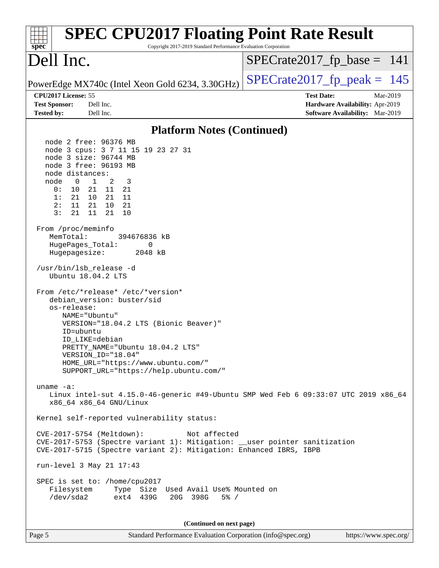| <b>SPEC CPU2017 Floating Point Rate Result</b><br>Copyright 2017-2019 Standard Performance Evaluation Corporation<br>$spec^*$                                                                                                                                                                                                                                                                                                                                                                                                                                                                                                                                                                                                                                                                                                                                                                                                                                                                                                                                                                                                                                                                                                                                                                                                  |                                                                                                            |
|--------------------------------------------------------------------------------------------------------------------------------------------------------------------------------------------------------------------------------------------------------------------------------------------------------------------------------------------------------------------------------------------------------------------------------------------------------------------------------------------------------------------------------------------------------------------------------------------------------------------------------------------------------------------------------------------------------------------------------------------------------------------------------------------------------------------------------------------------------------------------------------------------------------------------------------------------------------------------------------------------------------------------------------------------------------------------------------------------------------------------------------------------------------------------------------------------------------------------------------------------------------------------------------------------------------------------------|------------------------------------------------------------------------------------------------------------|
| Dell Inc.                                                                                                                                                                                                                                                                                                                                                                                                                                                                                                                                                                                                                                                                                                                                                                                                                                                                                                                                                                                                                                                                                                                                                                                                                                                                                                                      | $SPECrate2017_fp\_base = 141$                                                                              |
| PowerEdge MX740c (Intel Xeon Gold 6234, 3.30GHz)                                                                                                                                                                                                                                                                                                                                                                                                                                                                                                                                                                                                                                                                                                                                                                                                                                                                                                                                                                                                                                                                                                                                                                                                                                                                               | $SPECTate2017$ _fp_peak = 145                                                                              |
| CPU2017 License: 55<br><b>Test Sponsor:</b><br>Dell Inc.<br>Dell Inc.<br><b>Tested by:</b>                                                                                                                                                                                                                                                                                                                                                                                                                                                                                                                                                                                                                                                                                                                                                                                                                                                                                                                                                                                                                                                                                                                                                                                                                                     | <b>Test Date:</b><br>Mar-2019<br>Hardware Availability: Apr-2019<br><b>Software Availability:</b> Mar-2019 |
| <b>Platform Notes (Continued)</b>                                                                                                                                                                                                                                                                                                                                                                                                                                                                                                                                                                                                                                                                                                                                                                                                                                                                                                                                                                                                                                                                                                                                                                                                                                                                                              |                                                                                                            |
| node 2 free: 96376 MB<br>node 3 cpus: 3 7 11 15 19 23 27 31<br>node 3 size: 96744 MB<br>node 3 free: 96193 MB<br>node distances:<br>$\mathbf{1}$<br>2<br>node<br>$\overline{0}$<br>3<br>0:<br>10<br>21 11 21<br>1:<br>21<br>10 21 11<br>11<br>21 10 21<br>2:<br>3:<br>11<br>21<br>21<br>10<br>From /proc/meminfo<br>MemTotal:<br>394676836 kB<br>HugePages_Total:<br>0<br>Hugepagesize:<br>2048 kB<br>/usr/bin/lsb_release -d<br>Ubuntu 18.04.2 LTS<br>From /etc/*release* /etc/*version*<br>debian_version: buster/sid<br>os-release:<br>NAME="Ubuntu"<br>VERSION="18.04.2 LTS (Bionic Beaver)"<br>ID=ubuntu<br>ID LIKE=debian<br>PRETTY_NAME="Ubuntu 18.04.2 LTS"<br>VERSION ID="18.04"<br>HOME_URL="https://www.ubuntu.com/"<br>SUPPORT_URL="https://help.ubuntu.com/"<br>uname $-a$ :<br>Linux intel-sut 4.15.0-46-generic #49-Ubuntu SMP Wed Feb 6 09:33:07 UTC 2019 x86_64<br>x86_64 x86_64 GNU/Linux<br>Kernel self-reported vulnerability status:<br>CVE-2017-5754 (Meltdown):<br>Not affected<br>CVE-2017-5753 (Spectre variant 1): Mitigation: __user pointer sanitization<br>CVE-2017-5715 (Spectre variant 2): Mitigation: Enhanced IBRS, IBPB<br>run-level 3 May 21 17:43<br>SPEC is set to: /home/cpu2017<br>Type Size Used Avail Use% Mounted on<br>Filesystem<br>/dev/sda2<br>ext4 439G<br>20G 398G<br>$5\%$ / |                                                                                                            |
| (Continued on next page)<br>Page 5<br>Standard Performance Evaluation Corporation (info@spec.org)                                                                                                                                                                                                                                                                                                                                                                                                                                                                                                                                                                                                                                                                                                                                                                                                                                                                                                                                                                                                                                                                                                                                                                                                                              | https://www.spec.org/                                                                                      |
|                                                                                                                                                                                                                                                                                                                                                                                                                                                                                                                                                                                                                                                                                                                                                                                                                                                                                                                                                                                                                                                                                                                                                                                                                                                                                                                                |                                                                                                            |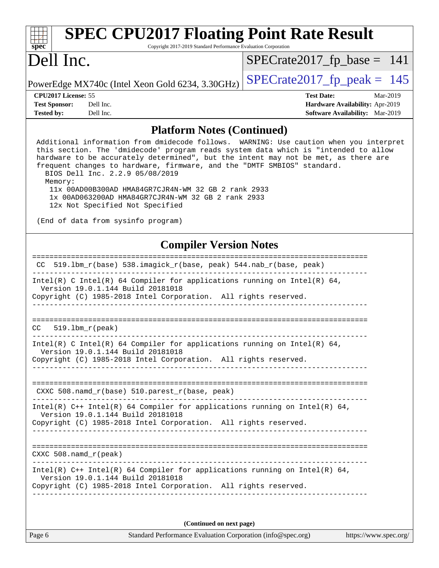| <b>SPEC CPU2017 Floating Point Rate Result</b><br>Copyright 2017-2019 Standard Performance Evaluation Corporation<br>spec <sup>®</sup>                                                                                                                                                                                                                                                                                                                                                                                                                                             |                                                                                                            |
|------------------------------------------------------------------------------------------------------------------------------------------------------------------------------------------------------------------------------------------------------------------------------------------------------------------------------------------------------------------------------------------------------------------------------------------------------------------------------------------------------------------------------------------------------------------------------------|------------------------------------------------------------------------------------------------------------|
| Dell Inc.                                                                                                                                                                                                                                                                                                                                                                                                                                                                                                                                                                          | $SPECrate2017_fp\_base = 141$                                                                              |
| PowerEdge MX740c (Intel Xeon Gold 6234, 3.30GHz)                                                                                                                                                                                                                                                                                                                                                                                                                                                                                                                                   | $SPECrate2017_fp\_peak = 145$                                                                              |
| CPU2017 License: 55<br>Dell Inc.<br><b>Test Sponsor:</b><br><b>Tested by:</b><br>Dell Inc.                                                                                                                                                                                                                                                                                                                                                                                                                                                                                         | <b>Test Date:</b><br>Mar-2019<br>Hardware Availability: Apr-2019<br><b>Software Availability:</b> Mar-2019 |
| <b>Platform Notes (Continued)</b>                                                                                                                                                                                                                                                                                                                                                                                                                                                                                                                                                  |                                                                                                            |
| Additional information from dmidecode follows. WARNING: Use caution when you interpret<br>this section. The 'dmidecode' program reads system data which is "intended to allow<br>hardware to be accurately determined", but the intent may not be met, as there are<br>frequent changes to hardware, firmware, and the "DMTF SMBIOS" standard.<br>BIOS Dell Inc. 2.2.9 05/08/2019<br>Memory:<br>11x 00AD00B300AD HMA84GR7CJR4N-WM 32 GB 2 rank 2933<br>1x 00AD063200AD HMA84GR7CJR4N-WM 32 GB 2 rank 2933<br>12x Not Specified Not Specified<br>(End of data from sysinfo program) |                                                                                                            |
|                                                                                                                                                                                                                                                                                                                                                                                                                                                                                                                                                                                    |                                                                                                            |
| <b>Compiler Version Notes</b><br>519.1bm_r(base) 538.imagick_r(base, peak) 544.nab_r(base, peak)<br>CC.                                                                                                                                                                                                                                                                                                                                                                                                                                                                            | =========================                                                                                  |
| $Intel(R)$ C Intel(R) 64 Compiler for applications running on Intel(R) 64,<br>Version 19.0.1.144 Build 20181018<br>Copyright (C) 1985-2018 Intel Corporation. All rights reserved.                                                                                                                                                                                                                                                                                                                                                                                                 |                                                                                                            |
| $519.1$ bm $r$ (peak)<br>CC.                                                                                                                                                                                                                                                                                                                                                                                                                                                                                                                                                       |                                                                                                            |
| Intel(R) C Intel(R) $64$ Compiler for applications running on Intel(R) $64$ ,<br>Version 19.0.1.144 Build 20181018<br>Copyright (C) 1985-2018 Intel Corporation. All rights reserved.                                                                                                                                                                                                                                                                                                                                                                                              |                                                                                                            |
| CXXC 508.namd_r(base) 510.parest_r(base, peak)                                                                                                                                                                                                                                                                                                                                                                                                                                                                                                                                     |                                                                                                            |
| Intel(R) C++ Intel(R) 64 Compiler for applications running on Intel(R) 64,<br>Version 19.0.1.144 Build 20181018<br>Copyright (C) 1985-2018 Intel Corporation. All rights reserved.                                                                                                                                                                                                                                                                                                                                                                                                 |                                                                                                            |
| CXXC 508.namd r (peak)                                                                                                                                                                                                                                                                                                                                                                                                                                                                                                                                                             |                                                                                                            |
| Intel(R) $C++$ Intel(R) 64 Compiler for applications running on Intel(R) 64,<br>Version 19.0.1.144 Build 20181018<br>Copyright (C) 1985-2018 Intel Corporation. All rights reserved.                                                                                                                                                                                                                                                                                                                                                                                               |                                                                                                            |
| (Continued on next page)                                                                                                                                                                                                                                                                                                                                                                                                                                                                                                                                                           |                                                                                                            |

Page 6 Standard Performance Evaluation Corporation [\(info@spec.org\)](mailto:info@spec.org) <https://www.spec.org/>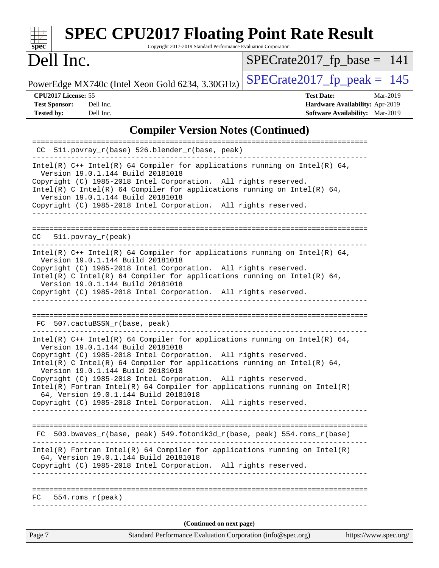| <b>SPEC CPU2017 Floating Point Rate Result</b><br>Copyright 2017-2019 Standard Performance Evaluation Corporation<br>spec <sup>®</sup>                                                                                                                                                                                                                                                                                                                                                         |                                                                                                            |
|------------------------------------------------------------------------------------------------------------------------------------------------------------------------------------------------------------------------------------------------------------------------------------------------------------------------------------------------------------------------------------------------------------------------------------------------------------------------------------------------|------------------------------------------------------------------------------------------------------------|
| Dell Inc.                                                                                                                                                                                                                                                                                                                                                                                                                                                                                      | $SPECrate2017_fp\_base = 141$                                                                              |
| PowerEdge MX740c (Intel Xeon Gold 6234, 3.30GHz)                                                                                                                                                                                                                                                                                                                                                                                                                                               | $SPECrate2017_fp\_peak = 145$                                                                              |
| CPU2017 License: 55<br>Dell Inc.<br><b>Test Sponsor:</b><br><b>Tested by:</b><br>Dell Inc.                                                                                                                                                                                                                                                                                                                                                                                                     | <b>Test Date:</b><br>Mar-2019<br>Hardware Availability: Apr-2019<br><b>Software Availability:</b> Mar-2019 |
| <b>Compiler Version Notes (Continued)</b>                                                                                                                                                                                                                                                                                                                                                                                                                                                      |                                                                                                            |
| 511.povray_r(base) 526.blender_r(base, peak)<br>CC                                                                                                                                                                                                                                                                                                                                                                                                                                             |                                                                                                            |
| Intel(R) $C++$ Intel(R) 64 Compiler for applications running on Intel(R) 64,<br>Version 19.0.1.144 Build 20181018<br>Copyright (C) 1985-2018 Intel Corporation. All rights reserved.<br>Intel(R) C Intel(R) 64 Compiler for applications running on Intel(R) 64,<br>Version 19.0.1.144 Build 20181018<br>Copyright (C) 1985-2018 Intel Corporation. All rights reserved.                                                                                                                       |                                                                                                            |
| $511. povray_r (peak)$<br>CC<br>Intel(R) $C++$ Intel(R) 64 Compiler for applications running on Intel(R) 64,<br>Version 19.0.1.144 Build 20181018<br>Copyright (C) 1985-2018 Intel Corporation. All rights reserved.<br>Intel(R) C Intel(R) 64 Compiler for applications running on Intel(R) 64,<br>Version 19.0.1.144 Build 20181018<br>Copyright (C) 1985-2018 Intel Corporation. All rights reserved.                                                                                       |                                                                                                            |
| 507.cactuBSSN_r(base, peak)<br>FC.<br>Intel(R) $C++$ Intel(R) 64 Compiler for applications running on Intel(R) 64,<br>Version 19.0.1.144 Build 20181018<br>Copyright (C) 1985-2018 Intel Corporation. All rights reserved.<br>Intel(R) C Intel(R) 64 Compiler for applications running on Intel(R) 64,<br>Version 19.0.1.144 Build 20181018<br>Copyright (C) 1985-2018 Intel Corporation. All rights reserved.<br>$Intel(R)$ Fortran Intel(R) 64 Compiler for applications running on Intel(R) |                                                                                                            |
| 64, Version 19.0.1.144 Build 20181018<br>Copyright (C) 1985-2018 Intel Corporation. All rights reserved.<br>FC 503.bwaves_r(base, peak) 549.fotonik3d_r(base, peak) 554.roms_r(base)<br>$Intel(R)$ Fortran Intel(R) 64 Compiler for applications running on Intel(R)<br>64, Version 19.0.1.144 Build 20181018<br>Copyright (C) 1985-2018 Intel Corporation. All rights reserved.<br>$FC$ 554.roms $r$ (peak)                                                                                   |                                                                                                            |
| (Continued on next page)                                                                                                                                                                                                                                                                                                                                                                                                                                                                       |                                                                                                            |
| Page 7<br>Standard Performance Evaluation Corporation (info@spec.org)                                                                                                                                                                                                                                                                                                                                                                                                                          | https://www.spec.org/                                                                                      |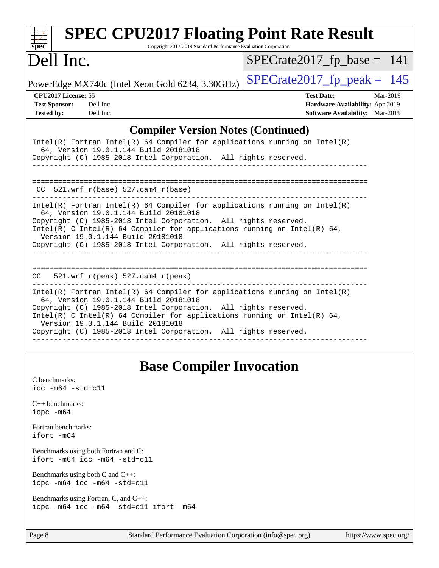| <b>SPEC CPU2017 Floating Point Rate Result</b><br>Copyright 2017-2019 Standard Performance Evaluation Corporation<br>$spec^*$                                                                                                                                                                                                                                                                                                                                                                                                                                                                                                        |                                                                                                            |
|--------------------------------------------------------------------------------------------------------------------------------------------------------------------------------------------------------------------------------------------------------------------------------------------------------------------------------------------------------------------------------------------------------------------------------------------------------------------------------------------------------------------------------------------------------------------------------------------------------------------------------------|------------------------------------------------------------------------------------------------------------|
| Dell Inc.                                                                                                                                                                                                                                                                                                                                                                                                                                                                                                                                                                                                                            | $SPECrate2017_fp\_base = 141$                                                                              |
| PowerEdge MX740c (Intel Xeon Gold 6234, 3.30GHz)                                                                                                                                                                                                                                                                                                                                                                                                                                                                                                                                                                                     | $SPECrate2017_fp\_peak = 145$                                                                              |
| CPU2017 License: 55<br><b>Test Sponsor:</b><br>Dell Inc.<br><b>Tested by:</b><br>Dell Inc.                                                                                                                                                                                                                                                                                                                                                                                                                                                                                                                                           | <b>Test Date:</b><br>Mar-2019<br>Hardware Availability: Apr-2019<br><b>Software Availability:</b> Mar-2019 |
| <b>Compiler Version Notes (Continued)</b>                                                                                                                                                                                                                                                                                                                                                                                                                                                                                                                                                                                            |                                                                                                            |
| $Intel(R)$ Fortran Intel(R) 64 Compiler for applications running on Intel(R)<br>64, Version 19.0.1.144 Build 20181018<br>Copyright (C) 1985-2018 Intel Corporation. All rights reserved.<br>$CC$ 521.wrf_r(base) 527.cam4_r(base)<br>$Intel(R)$ Fortran Intel(R) 64 Compiler for applications running on Intel(R)<br>64, Version 19.0.1.144 Build 20181018<br>Copyright (C) 1985-2018 Intel Corporation. All rights reserved.<br>Intel(R) C Intel(R) 64 Compiler for applications running on Intel(R) 64,<br>Version 19.0.1.144 Build 20181018<br>Copyright (C) 1985-2018 Intel Corporation. All rights reserved.<br>_______________ |                                                                                                            |
| $CC = 521.wrf_r(peak) 527.cam4_r(peak)$                                                                                                                                                                                                                                                                                                                                                                                                                                                                                                                                                                                              |                                                                                                            |
| Intel(R) Fortran Intel(R) 64 Compiler for applications running on $Intel(R)$<br>64, Version 19.0.1.144 Build 20181018<br>Copyright (C) 1985-2018 Intel Corporation. All rights reserved.<br>Intel(R) C Intel(R) 64 Compiler for applications running on Intel(R) 64,<br>Version 19.0.1.144 Build 20181018<br>Copyright (C) 1985-2018 Intel Corporation. All rights reserved.                                                                                                                                                                                                                                                         |                                                                                                            |

# **[Base Compiler Invocation](http://www.spec.org/auto/cpu2017/Docs/result-fields.html#BaseCompilerInvocation)**

| C benchmarks:<br>icc -m64 -std=c11                                              |
|---------------------------------------------------------------------------------|
| $C_{++}$ benchmarks:<br>icpc -m64                                               |
| Fortran benchmarks:<br>ifort -m64                                               |
| Benchmarks using both Fortran and C:<br>ifort -m64 icc -m64 -std=c11            |
| Benchmarks using both $C$ and $C_{++}$ :<br>icpc -m64 icc -m64 -std=c11         |
| Benchmarks using Fortran, C, and C++:<br>icpc -m64 icc -m64 -std=c11 ifort -m64 |
|                                                                                 |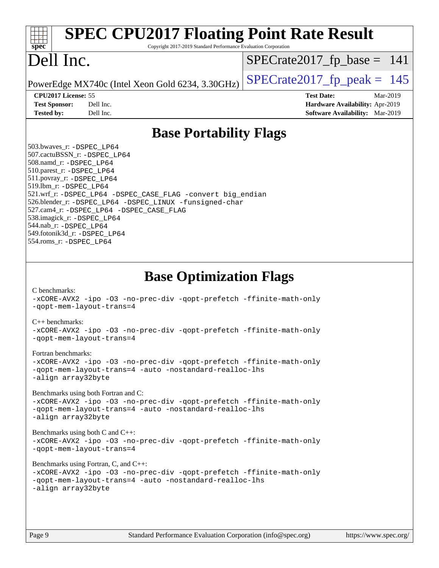| spec <sup>®</sup>                                                                                                                                                                                                                                                                           | <b>SPEC CPU2017 Floating Point Rate Result</b><br>Copyright 2017-2019 Standard Performance Evaluation Corporation                                                                                                                                                                                                                                                                                                                                                                    |                                                                                                            |
|---------------------------------------------------------------------------------------------------------------------------------------------------------------------------------------------------------------------------------------------------------------------------------------------|--------------------------------------------------------------------------------------------------------------------------------------------------------------------------------------------------------------------------------------------------------------------------------------------------------------------------------------------------------------------------------------------------------------------------------------------------------------------------------------|------------------------------------------------------------------------------------------------------------|
| Dell Inc.                                                                                                                                                                                                                                                                                   |                                                                                                                                                                                                                                                                                                                                                                                                                                                                                      | $SPECrate2017_fp\_base = 141$                                                                              |
|                                                                                                                                                                                                                                                                                             | PowerEdge MX740c (Intel Xeon Gold 6234, 3.30GHz)                                                                                                                                                                                                                                                                                                                                                                                                                                     | $SPECrate2017_fp\_peak = 145$                                                                              |
| CPU2017 License: 55<br><b>Test Sponsor:</b><br><b>Tested by:</b>                                                                                                                                                                                                                            | Dell Inc.<br>Dell Inc.                                                                                                                                                                                                                                                                                                                                                                                                                                                               | <b>Test Date:</b><br>Mar-2019<br>Hardware Availability: Apr-2019<br><b>Software Availability:</b> Mar-2019 |
|                                                                                                                                                                                                                                                                                             | <b>Base Portability Flags</b>                                                                                                                                                                                                                                                                                                                                                                                                                                                        |                                                                                                            |
| 503.bwaves_r: -DSPEC LP64<br>507.cactuBSSN_r: -DSPEC_LP64<br>508.namd_r: -DSPEC_LP64<br>510.parest_r: -DSPEC LP64<br>511.povray_r: -DSPEC_LP64<br>519.1bm_r: -DSPEC_LP64<br>538.imagick_r: -DSPEC_LP64<br>544.nab_r: -DSPEC LP64<br>549.fotonik3d_r: -DSPEC_LP64<br>554.roms_r: -DSPEC_LP64 | 521.wrf_r: -DSPEC_LP64 -DSPEC_CASE_FLAG -convert big_endian<br>526.blender_r: -DSPEC_LP64 -DSPEC_LINUX -funsigned-char<br>527.cam4_r: -DSPEC_LP64 -DSPEC_CASE_FLAG                                                                                                                                                                                                                                                                                                                   |                                                                                                            |
| C benchmarks:<br>$C_{++}$ benchmarks:<br>Fortran benchmarks:<br>-align array32byte                                                                                                                                                                                                          | <b>Base Optimization Flags</b><br>-xCORE-AVX2 -ipo -03 -no-prec-div -qopt-prefetch -ffinite-math-only<br>-gopt-mem-layout-trans=4<br>-xCORE-AVX2 -ipo -03 -no-prec-div -qopt-prefetch -ffinite-math-only<br>-qopt-mem-layout-trans=4<br>-xCORE-AVX2 -ipo -03 -no-prec-div -qopt-prefetch -ffinite-math-only<br>-gopt-mem-layout-trans=4 -auto -nostandard-realloc-lhs<br>Benchmarks using both Fortran and C:<br>-xCORE-AVX2 -ipo -03 -no-prec-div -qopt-prefetch -ffinite-math-only |                                                                                                            |
| -align array32byte<br>-align array32byte                                                                                                                                                                                                                                                    | -qopt-mem-layout-trans=4 -auto -nostandard-realloc-lhs<br>Benchmarks using both C and C++:<br>-xCORE-AVX2 -ipo -03 -no-prec-div -qopt-prefetch -ffinite-math-only<br>-qopt-mem-layout-trans=4<br>Benchmarks using Fortran, C, and C++:<br>-xCORE-AVX2 -ipo -03 -no-prec-div -qopt-prefetch -ffinite-math-only<br>-qopt-mem-layout-trans=4 -auto -nostandard-realloc-lhs                                                                                                              |                                                                                                            |
| $P_{900}$ Q                                                                                                                                                                                                                                                                                 | Standard Performance Evaluation Corporation (info@spec.org)                                                                                                                                                                                                                                                                                                                                                                                                                          | https://www.cnec.org/                                                                                      |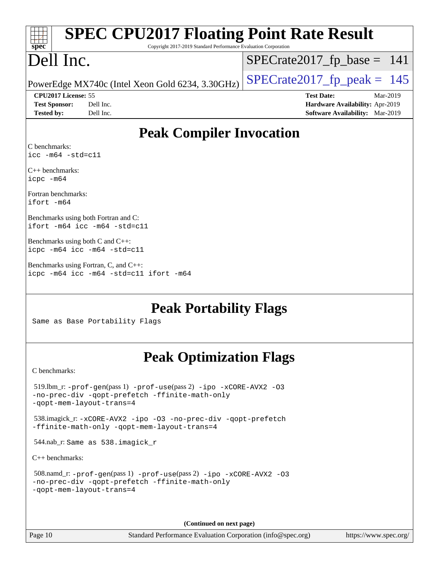| <b>SPEC CPU2017 Floating Point Rate Result</b><br>spec <sup>®</sup><br>Copyright 2017-2019 Standard Performance Evaluation Corporation             |                                                                                                            |
|----------------------------------------------------------------------------------------------------------------------------------------------------|------------------------------------------------------------------------------------------------------------|
| Dell Inc.                                                                                                                                          | $SPECrate2017_fp\_base = 141$                                                                              |
| PowerEdge MX740c (Intel Xeon Gold 6234, 3.30GHz)                                                                                                   | $SPECrate2017_fp\_peak = 145$                                                                              |
| CPU <sub>2017</sub> License: 55<br><b>Test Sponsor:</b><br>Dell Inc.<br><b>Tested by:</b><br>Dell Inc.                                             | <b>Test Date:</b><br>Mar-2019<br>Hardware Availability: Apr-2019<br><b>Software Availability:</b> Mar-2019 |
| <b>Peak Compiler Invocation</b>                                                                                                                    |                                                                                                            |
| C benchmarks:<br>$\text{icc -m64 -std=c11}$                                                                                                        |                                                                                                            |
| $C_{++}$ benchmarks:<br>icpc -m64                                                                                                                  |                                                                                                            |
| Fortran benchmarks:<br>$ifort -m64$                                                                                                                |                                                                                                            |
| Benchmarks using both Fortran and C:<br>ifort $-m64$ icc $-m64$ $-std= c11$                                                                        |                                                                                                            |
| Benchmarks using both C and C++:<br>icpc -m64 icc -m64 -std=c11                                                                                    |                                                                                                            |
| Benchmarks using Fortran, C, and C++:<br>icpc -m64 icc -m64 -std=c11 ifort -m64                                                                    |                                                                                                            |
| <b>Peak Portability Flags</b><br>Same as Base Portability Flags                                                                                    |                                                                                                            |
| <b>Peak Optimization Flags</b>                                                                                                                     |                                                                                                            |
| C benchmarks:                                                                                                                                      |                                                                                                            |
| 519.1bm_r: -prof-gen(pass 1) -prof-use(pass 2) -ipo -xCORE-AVX2 -03<br>-no-prec-div -qopt-prefetch -ffinite-math-only<br>-gopt-mem-layout-trans=4  |                                                                                                            |
| 538.imagick_r: -xCORE-AVX2 -ipo -03 -no-prec-div -qopt-prefetch<br>-ffinite-math-only -qopt-mem-layout-trans=4                                     |                                                                                                            |
| 544.nab_r: Same as 538.imagick_r                                                                                                                   |                                                                                                            |
| $C++$ benchmarks:                                                                                                                                  |                                                                                                            |
| 508.namd_r: -prof-gen(pass 1) -prof-use(pass 2) -ipo -xCORE-AVX2 -03<br>-no-prec-div -qopt-prefetch -ffinite-math-only<br>-qopt-mem-layout-trans=4 |                                                                                                            |

**(Continued on next page)**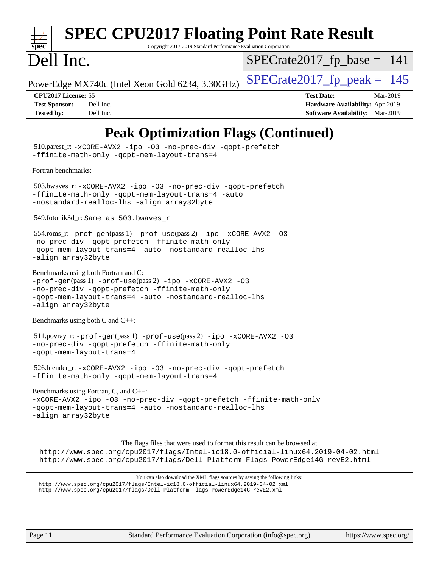

# **[SPEC CPU2017 Floating Point Rate Result](http://www.spec.org/auto/cpu2017/Docs/result-fields.html#SPECCPU2017FloatingPointRateResult)**

Copyright 2017-2019 Standard Performance Evaluation Corporation

# Dell Inc.

 $SPECTate2017_fp\_base = 141$ 

PowerEdge MX740c (Intel Xeon Gold 6234, 3.30GHz)  $\left|$  [SPECrate2017\\_fp\\_peak =](http://www.spec.org/auto/cpu2017/Docs/result-fields.html#SPECrate2017fppeak) 145

**[CPU2017 License:](http://www.spec.org/auto/cpu2017/Docs/result-fields.html#CPU2017License)** 55 **[Test Date:](http://www.spec.org/auto/cpu2017/Docs/result-fields.html#TestDate)** Mar-2019 **[Test Sponsor:](http://www.spec.org/auto/cpu2017/Docs/result-fields.html#TestSponsor)** Dell Inc. **[Hardware Availability:](http://www.spec.org/auto/cpu2017/Docs/result-fields.html#HardwareAvailability)** Apr-2019 **[Tested by:](http://www.spec.org/auto/cpu2017/Docs/result-fields.html#Testedby)** Dell Inc. **[Software Availability:](http://www.spec.org/auto/cpu2017/Docs/result-fields.html#SoftwareAvailability)** Mar-2019

## **[Peak Optimization Flags \(Continued\)](http://www.spec.org/auto/cpu2017/Docs/result-fields.html#PeakOptimizationFlags)**

 510.parest\_r: [-xCORE-AVX2](http://www.spec.org/cpu2017/results/res2019q3/cpu2017-20190624-15391.flags.html#user_peakCXXOPTIMIZE510_parest_r_f-xCORE-AVX2) [-ipo](http://www.spec.org/cpu2017/results/res2019q3/cpu2017-20190624-15391.flags.html#user_peakCXXOPTIMIZE510_parest_r_f-ipo) [-O3](http://www.spec.org/cpu2017/results/res2019q3/cpu2017-20190624-15391.flags.html#user_peakCXXOPTIMIZE510_parest_r_f-O3) [-no-prec-div](http://www.spec.org/cpu2017/results/res2019q3/cpu2017-20190624-15391.flags.html#user_peakCXXOPTIMIZE510_parest_r_f-no-prec-div) [-qopt-prefetch](http://www.spec.org/cpu2017/results/res2019q3/cpu2017-20190624-15391.flags.html#user_peakCXXOPTIMIZE510_parest_r_f-qopt-prefetch) [-ffinite-math-only](http://www.spec.org/cpu2017/results/res2019q3/cpu2017-20190624-15391.flags.html#user_peakCXXOPTIMIZE510_parest_r_f_finite_math_only_cb91587bd2077682c4b38af759c288ed7c732db004271a9512da14a4f8007909a5f1427ecbf1a0fb78ff2a814402c6114ac565ca162485bbcae155b5e4258871) [-qopt-mem-layout-trans=4](http://www.spec.org/cpu2017/results/res2019q3/cpu2017-20190624-15391.flags.html#user_peakCXXOPTIMIZE510_parest_r_f-qopt-mem-layout-trans_fa39e755916c150a61361b7846f310bcdf6f04e385ef281cadf3647acec3f0ae266d1a1d22d972a7087a248fd4e6ca390a3634700869573d231a252c784941a8) [Fortran benchmarks](http://www.spec.org/auto/cpu2017/Docs/result-fields.html#Fortranbenchmarks): 503.bwaves\_r: [-xCORE-AVX2](http://www.spec.org/cpu2017/results/res2019q3/cpu2017-20190624-15391.flags.html#user_peakFOPTIMIZE503_bwaves_r_f-xCORE-AVX2) [-ipo](http://www.spec.org/cpu2017/results/res2019q3/cpu2017-20190624-15391.flags.html#user_peakFOPTIMIZE503_bwaves_r_f-ipo) [-O3](http://www.spec.org/cpu2017/results/res2019q3/cpu2017-20190624-15391.flags.html#user_peakFOPTIMIZE503_bwaves_r_f-O3) [-no-prec-div](http://www.spec.org/cpu2017/results/res2019q3/cpu2017-20190624-15391.flags.html#user_peakFOPTIMIZE503_bwaves_r_f-no-prec-div) [-qopt-prefetch](http://www.spec.org/cpu2017/results/res2019q3/cpu2017-20190624-15391.flags.html#user_peakFOPTIMIZE503_bwaves_r_f-qopt-prefetch) [-ffinite-math-only](http://www.spec.org/cpu2017/results/res2019q3/cpu2017-20190624-15391.flags.html#user_peakFOPTIMIZE503_bwaves_r_f_finite_math_only_cb91587bd2077682c4b38af759c288ed7c732db004271a9512da14a4f8007909a5f1427ecbf1a0fb78ff2a814402c6114ac565ca162485bbcae155b5e4258871) [-qopt-mem-layout-trans=4](http://www.spec.org/cpu2017/results/res2019q3/cpu2017-20190624-15391.flags.html#user_peakFOPTIMIZE503_bwaves_r_f-qopt-mem-layout-trans_fa39e755916c150a61361b7846f310bcdf6f04e385ef281cadf3647acec3f0ae266d1a1d22d972a7087a248fd4e6ca390a3634700869573d231a252c784941a8) [-auto](http://www.spec.org/cpu2017/results/res2019q3/cpu2017-20190624-15391.flags.html#user_peakFOPTIMIZE503_bwaves_r_f-auto) [-nostandard-realloc-lhs](http://www.spec.org/cpu2017/results/res2019q3/cpu2017-20190624-15391.flags.html#user_peakEXTRA_FOPTIMIZE503_bwaves_r_f_2003_std_realloc_82b4557e90729c0f113870c07e44d33d6f5a304b4f63d4c15d2d0f1fab99f5daaed73bdb9275d9ae411527f28b936061aa8b9c8f2d63842963b95c9dd6426b8a) [-align array32byte](http://www.spec.org/cpu2017/results/res2019q3/cpu2017-20190624-15391.flags.html#user_peakEXTRA_FOPTIMIZE503_bwaves_r_align_array32byte_b982fe038af199962ba9a80c053b8342c548c85b40b8e86eb3cc33dee0d7986a4af373ac2d51c3f7cf710a18d62fdce2948f201cd044323541f22fc0fffc51b6) 549.fotonik3d\_r: Same as 503.bwaves\_r 554.roms\_r: [-prof-gen](http://www.spec.org/cpu2017/results/res2019q3/cpu2017-20190624-15391.flags.html#user_peakPASS1_FFLAGSPASS1_LDFLAGS554_roms_r_prof_gen_5aa4926d6013ddb2a31985c654b3eb18169fc0c6952a63635c234f711e6e63dd76e94ad52365559451ec499a2cdb89e4dc58ba4c67ef54ca681ffbe1461d6b36)(pass 1) [-prof-use](http://www.spec.org/cpu2017/results/res2019q3/cpu2017-20190624-15391.flags.html#user_peakPASS2_FFLAGSPASS2_LDFLAGS554_roms_r_prof_use_1a21ceae95f36a2b53c25747139a6c16ca95bd9def2a207b4f0849963b97e94f5260e30a0c64f4bb623698870e679ca08317ef8150905d41bd88c6f78df73f19)(pass 2) [-ipo](http://www.spec.org/cpu2017/results/res2019q3/cpu2017-20190624-15391.flags.html#user_peakPASS1_FOPTIMIZEPASS2_FOPTIMIZE554_roms_r_f-ipo) [-xCORE-AVX2](http://www.spec.org/cpu2017/results/res2019q3/cpu2017-20190624-15391.flags.html#user_peakPASS2_FOPTIMIZE554_roms_r_f-xCORE-AVX2) [-O3](http://www.spec.org/cpu2017/results/res2019q3/cpu2017-20190624-15391.flags.html#user_peakPASS1_FOPTIMIZEPASS2_FOPTIMIZE554_roms_r_f-O3) [-no-prec-div](http://www.spec.org/cpu2017/results/res2019q3/cpu2017-20190624-15391.flags.html#user_peakPASS1_FOPTIMIZEPASS2_FOPTIMIZE554_roms_r_f-no-prec-div) [-qopt-prefetch](http://www.spec.org/cpu2017/results/res2019q3/cpu2017-20190624-15391.flags.html#user_peakPASS1_FOPTIMIZEPASS2_FOPTIMIZE554_roms_r_f-qopt-prefetch) [-ffinite-math-only](http://www.spec.org/cpu2017/results/res2019q3/cpu2017-20190624-15391.flags.html#user_peakPASS1_FOPTIMIZEPASS2_FOPTIMIZE554_roms_r_f_finite_math_only_cb91587bd2077682c4b38af759c288ed7c732db004271a9512da14a4f8007909a5f1427ecbf1a0fb78ff2a814402c6114ac565ca162485bbcae155b5e4258871) [-qopt-mem-layout-trans=4](http://www.spec.org/cpu2017/results/res2019q3/cpu2017-20190624-15391.flags.html#user_peakPASS1_FOPTIMIZEPASS2_FOPTIMIZE554_roms_r_f-qopt-mem-layout-trans_fa39e755916c150a61361b7846f310bcdf6f04e385ef281cadf3647acec3f0ae266d1a1d22d972a7087a248fd4e6ca390a3634700869573d231a252c784941a8) [-auto](http://www.spec.org/cpu2017/results/res2019q3/cpu2017-20190624-15391.flags.html#user_peakPASS2_FOPTIMIZE554_roms_r_f-auto) [-nostandard-realloc-lhs](http://www.spec.org/cpu2017/results/res2019q3/cpu2017-20190624-15391.flags.html#user_peakEXTRA_FOPTIMIZE554_roms_r_f_2003_std_realloc_82b4557e90729c0f113870c07e44d33d6f5a304b4f63d4c15d2d0f1fab99f5daaed73bdb9275d9ae411527f28b936061aa8b9c8f2d63842963b95c9dd6426b8a) [-align array32byte](http://www.spec.org/cpu2017/results/res2019q3/cpu2017-20190624-15391.flags.html#user_peakEXTRA_FOPTIMIZE554_roms_r_align_array32byte_b982fe038af199962ba9a80c053b8342c548c85b40b8e86eb3cc33dee0d7986a4af373ac2d51c3f7cf710a18d62fdce2948f201cd044323541f22fc0fffc51b6) [Benchmarks using both Fortran and C](http://www.spec.org/auto/cpu2017/Docs/result-fields.html#BenchmarksusingbothFortranandC): [-prof-gen](http://www.spec.org/cpu2017/results/res2019q3/cpu2017-20190624-15391.flags.html#user_CC_FCpeak_prof_gen_5aa4926d6013ddb2a31985c654b3eb18169fc0c6952a63635c234f711e6e63dd76e94ad52365559451ec499a2cdb89e4dc58ba4c67ef54ca681ffbe1461d6b36)(pass 1) [-prof-use](http://www.spec.org/cpu2017/results/res2019q3/cpu2017-20190624-15391.flags.html#user_CC_FCpeak_prof_use_1a21ceae95f36a2b53c25747139a6c16ca95bd9def2a207b4f0849963b97e94f5260e30a0c64f4bb623698870e679ca08317ef8150905d41bd88c6f78df73f19)(pass 2) [-ipo](http://www.spec.org/cpu2017/results/res2019q3/cpu2017-20190624-15391.flags.html#user_CC_FCpeak_f-ipo) [-xCORE-AVX2](http://www.spec.org/cpu2017/results/res2019q3/cpu2017-20190624-15391.flags.html#user_CC_FCpeak_f-xCORE-AVX2) [-O3](http://www.spec.org/cpu2017/results/res2019q3/cpu2017-20190624-15391.flags.html#user_CC_FCpeak_f-O3) [-no-prec-div](http://www.spec.org/cpu2017/results/res2019q3/cpu2017-20190624-15391.flags.html#user_CC_FCpeak_f-no-prec-div) [-qopt-prefetch](http://www.spec.org/cpu2017/results/res2019q3/cpu2017-20190624-15391.flags.html#user_CC_FCpeak_f-qopt-prefetch) [-ffinite-math-only](http://www.spec.org/cpu2017/results/res2019q3/cpu2017-20190624-15391.flags.html#user_CC_FCpeak_f_finite_math_only_cb91587bd2077682c4b38af759c288ed7c732db004271a9512da14a4f8007909a5f1427ecbf1a0fb78ff2a814402c6114ac565ca162485bbcae155b5e4258871) [-qopt-mem-layout-trans=4](http://www.spec.org/cpu2017/results/res2019q3/cpu2017-20190624-15391.flags.html#user_CC_FCpeak_f-qopt-mem-layout-trans_fa39e755916c150a61361b7846f310bcdf6f04e385ef281cadf3647acec3f0ae266d1a1d22d972a7087a248fd4e6ca390a3634700869573d231a252c784941a8) [-auto](http://www.spec.org/cpu2017/results/res2019q3/cpu2017-20190624-15391.flags.html#user_CC_FCpeak_f-auto) [-nostandard-realloc-lhs](http://www.spec.org/cpu2017/results/res2019q3/cpu2017-20190624-15391.flags.html#user_CC_FCpeak_f_2003_std_realloc_82b4557e90729c0f113870c07e44d33d6f5a304b4f63d4c15d2d0f1fab99f5daaed73bdb9275d9ae411527f28b936061aa8b9c8f2d63842963b95c9dd6426b8a) [-align array32byte](http://www.spec.org/cpu2017/results/res2019q3/cpu2017-20190624-15391.flags.html#user_CC_FCpeak_align_array32byte_b982fe038af199962ba9a80c053b8342c548c85b40b8e86eb3cc33dee0d7986a4af373ac2d51c3f7cf710a18d62fdce2948f201cd044323541f22fc0fffc51b6) [Benchmarks using both C and C++](http://www.spec.org/auto/cpu2017/Docs/result-fields.html#BenchmarksusingbothCandCXX): 511.povray\_r: [-prof-gen](http://www.spec.org/cpu2017/results/res2019q3/cpu2017-20190624-15391.flags.html#user_peakPASS1_CFLAGSPASS1_CXXFLAGSPASS1_LDFLAGS511_povray_r_prof_gen_5aa4926d6013ddb2a31985c654b3eb18169fc0c6952a63635c234f711e6e63dd76e94ad52365559451ec499a2cdb89e4dc58ba4c67ef54ca681ffbe1461d6b36)(pass 1) [-prof-use](http://www.spec.org/cpu2017/results/res2019q3/cpu2017-20190624-15391.flags.html#user_peakPASS2_CFLAGSPASS2_CXXFLAGSPASS2_LDFLAGS511_povray_r_prof_use_1a21ceae95f36a2b53c25747139a6c16ca95bd9def2a207b4f0849963b97e94f5260e30a0c64f4bb623698870e679ca08317ef8150905d41bd88c6f78df73f19)(pass 2) [-ipo](http://www.spec.org/cpu2017/results/res2019q3/cpu2017-20190624-15391.flags.html#user_peakPASS1_COPTIMIZEPASS1_CXXOPTIMIZEPASS2_COPTIMIZEPASS2_CXXOPTIMIZE511_povray_r_f-ipo) [-xCORE-AVX2](http://www.spec.org/cpu2017/results/res2019q3/cpu2017-20190624-15391.flags.html#user_peakPASS2_COPTIMIZEPASS2_CXXOPTIMIZE511_povray_r_f-xCORE-AVX2) [-O3](http://www.spec.org/cpu2017/results/res2019q3/cpu2017-20190624-15391.flags.html#user_peakPASS1_COPTIMIZEPASS1_CXXOPTIMIZEPASS2_COPTIMIZEPASS2_CXXOPTIMIZE511_povray_r_f-O3) [-no-prec-div](http://www.spec.org/cpu2017/results/res2019q3/cpu2017-20190624-15391.flags.html#user_peakPASS1_COPTIMIZEPASS1_CXXOPTIMIZEPASS2_COPTIMIZEPASS2_CXXOPTIMIZE511_povray_r_f-no-prec-div) [-qopt-prefetch](http://www.spec.org/cpu2017/results/res2019q3/cpu2017-20190624-15391.flags.html#user_peakPASS1_COPTIMIZEPASS1_CXXOPTIMIZEPASS2_COPTIMIZEPASS2_CXXOPTIMIZE511_povray_r_f-qopt-prefetch) [-ffinite-math-only](http://www.spec.org/cpu2017/results/res2019q3/cpu2017-20190624-15391.flags.html#user_peakPASS1_COPTIMIZEPASS1_CXXOPTIMIZEPASS2_COPTIMIZEPASS2_CXXOPTIMIZE511_povray_r_f_finite_math_only_cb91587bd2077682c4b38af759c288ed7c732db004271a9512da14a4f8007909a5f1427ecbf1a0fb78ff2a814402c6114ac565ca162485bbcae155b5e4258871) [-qopt-mem-layout-trans=4](http://www.spec.org/cpu2017/results/res2019q3/cpu2017-20190624-15391.flags.html#user_peakPASS1_COPTIMIZEPASS1_CXXOPTIMIZEPASS2_COPTIMIZEPASS2_CXXOPTIMIZE511_povray_r_f-qopt-mem-layout-trans_fa39e755916c150a61361b7846f310bcdf6f04e385ef281cadf3647acec3f0ae266d1a1d22d972a7087a248fd4e6ca390a3634700869573d231a252c784941a8) 526.blender\_r: [-xCORE-AVX2](http://www.spec.org/cpu2017/results/res2019q3/cpu2017-20190624-15391.flags.html#user_peakCOPTIMIZECXXOPTIMIZE526_blender_r_f-xCORE-AVX2) [-ipo](http://www.spec.org/cpu2017/results/res2019q3/cpu2017-20190624-15391.flags.html#user_peakCOPTIMIZECXXOPTIMIZE526_blender_r_f-ipo) [-O3](http://www.spec.org/cpu2017/results/res2019q3/cpu2017-20190624-15391.flags.html#user_peakCOPTIMIZECXXOPTIMIZE526_blender_r_f-O3) [-no-prec-div](http://www.spec.org/cpu2017/results/res2019q3/cpu2017-20190624-15391.flags.html#user_peakCOPTIMIZECXXOPTIMIZE526_blender_r_f-no-prec-div) [-qopt-prefetch](http://www.spec.org/cpu2017/results/res2019q3/cpu2017-20190624-15391.flags.html#user_peakCOPTIMIZECXXOPTIMIZE526_blender_r_f-qopt-prefetch) [-ffinite-math-only](http://www.spec.org/cpu2017/results/res2019q3/cpu2017-20190624-15391.flags.html#user_peakCOPTIMIZECXXOPTIMIZE526_blender_r_f_finite_math_only_cb91587bd2077682c4b38af759c288ed7c732db004271a9512da14a4f8007909a5f1427ecbf1a0fb78ff2a814402c6114ac565ca162485bbcae155b5e4258871) [-qopt-mem-layout-trans=4](http://www.spec.org/cpu2017/results/res2019q3/cpu2017-20190624-15391.flags.html#user_peakCOPTIMIZECXXOPTIMIZE526_blender_r_f-qopt-mem-layout-trans_fa39e755916c150a61361b7846f310bcdf6f04e385ef281cadf3647acec3f0ae266d1a1d22d972a7087a248fd4e6ca390a3634700869573d231a252c784941a8) [Benchmarks using Fortran, C, and C++:](http://www.spec.org/auto/cpu2017/Docs/result-fields.html#BenchmarksusingFortranCandCXX) [-xCORE-AVX2](http://www.spec.org/cpu2017/results/res2019q3/cpu2017-20190624-15391.flags.html#user_CC_CXX_FCpeak_f-xCORE-AVX2) [-ipo](http://www.spec.org/cpu2017/results/res2019q3/cpu2017-20190624-15391.flags.html#user_CC_CXX_FCpeak_f-ipo) [-O3](http://www.spec.org/cpu2017/results/res2019q3/cpu2017-20190624-15391.flags.html#user_CC_CXX_FCpeak_f-O3) [-no-prec-div](http://www.spec.org/cpu2017/results/res2019q3/cpu2017-20190624-15391.flags.html#user_CC_CXX_FCpeak_f-no-prec-div) [-qopt-prefetch](http://www.spec.org/cpu2017/results/res2019q3/cpu2017-20190624-15391.flags.html#user_CC_CXX_FCpeak_f-qopt-prefetch) [-ffinite-math-only](http://www.spec.org/cpu2017/results/res2019q3/cpu2017-20190624-15391.flags.html#user_CC_CXX_FCpeak_f_finite_math_only_cb91587bd2077682c4b38af759c288ed7c732db004271a9512da14a4f8007909a5f1427ecbf1a0fb78ff2a814402c6114ac565ca162485bbcae155b5e4258871) [-qopt-mem-layout-trans=4](http://www.spec.org/cpu2017/results/res2019q3/cpu2017-20190624-15391.flags.html#user_CC_CXX_FCpeak_f-qopt-mem-layout-trans_fa39e755916c150a61361b7846f310bcdf6f04e385ef281cadf3647acec3f0ae266d1a1d22d972a7087a248fd4e6ca390a3634700869573d231a252c784941a8) [-auto](http://www.spec.org/cpu2017/results/res2019q3/cpu2017-20190624-15391.flags.html#user_CC_CXX_FCpeak_f-auto) [-nostandard-realloc-lhs](http://www.spec.org/cpu2017/results/res2019q3/cpu2017-20190624-15391.flags.html#user_CC_CXX_FCpeak_f_2003_std_realloc_82b4557e90729c0f113870c07e44d33d6f5a304b4f63d4c15d2d0f1fab99f5daaed73bdb9275d9ae411527f28b936061aa8b9c8f2d63842963b95c9dd6426b8a) [-align array32byte](http://www.spec.org/cpu2017/results/res2019q3/cpu2017-20190624-15391.flags.html#user_CC_CXX_FCpeak_align_array32byte_b982fe038af199962ba9a80c053b8342c548c85b40b8e86eb3cc33dee0d7986a4af373ac2d51c3f7cf710a18d62fdce2948f201cd044323541f22fc0fffc51b6) The flags files that were used to format this result can be browsed at <http://www.spec.org/cpu2017/flags/Intel-ic18.0-official-linux64.2019-04-02.html> <http://www.spec.org/cpu2017/flags/Dell-Platform-Flags-PowerEdge14G-revE2.html> You can also download the XML flags sources by saving the following links: <http://www.spec.org/cpu2017/flags/Intel-ic18.0-official-linux64.2019-04-02.xml> <http://www.spec.org/cpu2017/flags/Dell-Platform-Flags-PowerEdge14G-revE2.xml>